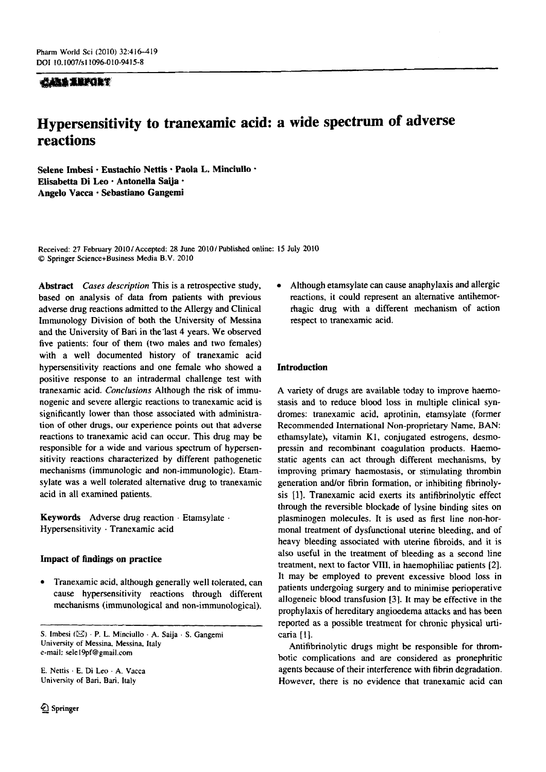# **CARS INFORT**

# **Hypersensitivity to tranexamic acid: a wide spectrum of adverse reactions**

**Selene Imbesi · Eustachio Nettis · Paola L. Minciullo · <br>
Elisabetta Di Leo · Antonella Saija ·<br>
Angelo Vacca · Sebastiano Gangemi** 

**Received: 27 February 20 10** / **Accepted: 28 June 2010** / **Published online: 15 July 2010**  O **Springer Science+Business Media B.V. 2010** 

**Abstract** *Cases description* This is a retrospective study, based on analysis of data from patients with previous adverse drug reactions admitted to the Allergy and Clinical Immunology Division of both the University of Messina and the University of **Bari** in the'last 4 years. We observed five patients: four of them (two males and two females) with a well documented history of tranexamic acid hypersensitivity reactions and one female who showed a positive response to an intradermal challenge test with tranexamic acid. *Conclusions* Although the risk of immunogenic and severe allergic reactions to tranexamic acid is significantly lower than those associated with administration of other drugs, our experience points out that adverse reactions to tranexamic acid can occur. This drug may be responsible for a wide and various spectrum of hypersensitivity reactions characterized by different pathogenetic mechanisms (immunologic and non-immunologic). Etamsylate was a well tolerated alternative drug to tranexamic acid in all examined patients.

**Keywords** Adverse drug reaction . Etamsylate . Hypersensitivity - Tranexamic acid

## **Impact of findings on practice**

 $\bullet$ Tranexamic acid, although generally well tolerated, can cause hypersensitivity reactions through different mechanisms (immunological and non-immunological).

**S. lmbesi** IW) . **P. L. Minciullo** . **A. Saija** . **S. Gangemi University of Messina. Messina, Italy r-mail: sele I9pf@gmaiI.com** 

**E. Nettis** . **E. Di Leo** . **A. Vacca University of Bari. Bari. Italy** 

Although etamsylate can cause anaphylaxis and allergic reactions, it could represent an alternative antihemorrhagic **drug** with a different mechanism of action respect to tranexamic acid.

## **Introduction**

A variety of drugs are available today to improve haemostasis and to reduce blood loss in multiple clinical syndromes: tranexamic acid, aprotinin, etamsylate (former Recommended International Non-proprietary Name, BAN: ethamsylate), vitamin **K1,** conjugated estrogens, desmopressin and recombinant coagulation products. Haemostatic agents can act through different mechanisms, by improving primary haemostasis, or stimulating thrombin generation andlor fibrin formation, or inhibiting fibrinolysis [l]. Tranexamic acid exerts its antifibrinolytic effect through the reversible blockade of lysine binding sites on plasminogen molecules. It is used as first line non-hormonal treatment of dysfunctional uterine bleeding, and of heavy bleeding associated with uterine fibroids, and it is also useful in the treatment of bleeding as a second line treatment, next to factor VIII, in haemophiliac patients [2]. It may be employed to prevent excessive blood loss in patients undergoing surgery and to minimise perioperative allogeneic blood transfusion **[3].** It may be effective in the prophylaxis of hereditary angioedema attacks and has been reported as a possible treatment for chronic physical urticaria [l].

Antifibrinolytic drugs might be responsible for thrombotic complications and are considered as pronephritic agents because of their interference with fibrin degradation. However. there is no evidence that tranexamic acid can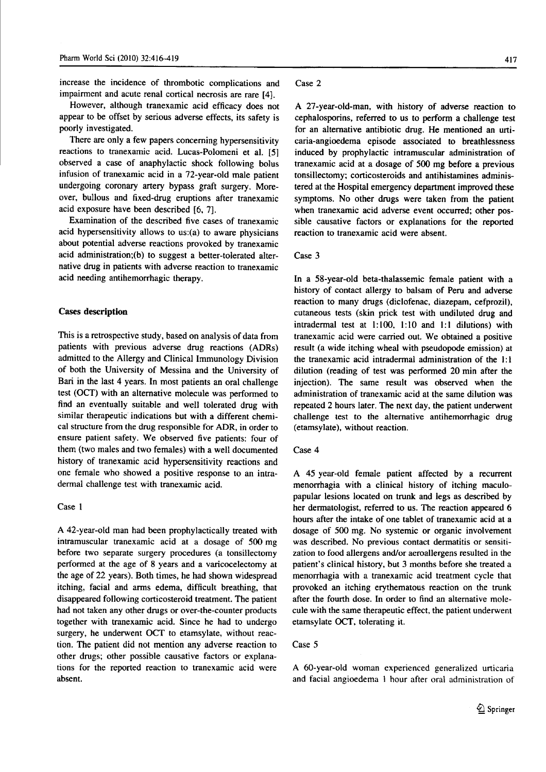increase the incidence of thrombotic complications and impairment and acute renal cortical necrosis are rare [4].

However, although tranexamic acid efficacy does not appear to be offset by serious adverse effects, its safety is poorly investigated.

There are only a few papers concerning hypersensitivity reactions to tranexamic acid. Lucas-Polomeni et al. [5] observed a case of anaphylactic shock following bolus infusion of tranexamic acid in a 72-year-old male patient undergoing coronary artery bypass graft surgery. Moreover, bullous and fixed-drug eruptions after tranexamic acid exposure have been described **[6,** 71.

Examination of the described five cases of tranexamic acid hypersensitivity allows to us:(a) to aware physicians about potential adverse reactions provoked by tranexamic acid administration;(b) to suggest a better-tolerated alternative drug in patients with adverse reaction to tranexamic acid needing antihemorrhagic therapy.

#### **Cases description**

This is a retrospective study, based on analysis of data from patients with previous adverse drug reactions (ADRs) admitted to the Allergy and Clinical Immunology Division of both the University of Messina and the University of **Bari** in the last 4 years. In most patients an oral challenge test (OCT) with an alternative molecule was performed to find an eventually suitable and well tolerated drug with similar therapeutic' indications but with a different chemical structure from the drug responsible for ADR, in order to ensure patient safety. We observed five patients: four of them (two males and two females) with a well documented history of tranexamic acid hypersensitivity reactions and one female who showed a positive response to an intradermal challenge test with tranexamic acid.

#### Case 1

A 42-year-old man had been prophylactically treated with intramuscular tranexamic acid at a dosage of 500 mg before two separate surgery procedures (a tonsillectomy performed at the age of 8 years and a varicocelectomy at the age of 22 years). Both times, he had shown widespread itching, facial and arms edema, difficult breathing, that disappeared following corticosteroid treatment. The patient had not taken any other drugs or over-the-counter products together with tranexamic acid. Since he had to undergo surgery, he underwent OCT to etamsylate, without reaction. The patient did not mention any adverse reaction to other drugs; other possible causative factors or explanations for the reported reaction to tranexamic acid were absent.

### Case 2

A 27-year-old-man, with history of adverse reaction to cephalosporins, referred to us to perform a challenge test for an alternative antibiotic drug. He mentioned an urticaria-angioedema episode associated to breathlessness induced by prophylactic intramuscular administration of tranexamic acid at a dosage of 500 mg before a previous tonsillectomy; corticosteroids and antihistamines administered at the Hospital emergency department improved these symptoms. No other drugs were taken from the patient when tranexamic acid adverse event occurred; other possible causative factors or explanations for the reported reaction to tranexamic acid were absent.

#### Case 3

In a 58-year-old beta-thalassemic female patient with a history of contact allergy to balsam of Peru and adverse reaction to many drugs (diclofenac, diazepam, cefprozil), cutaneous tests (skin prick test with undiluted drug and intradermal test at 1: **100,** 1: **10** and 1: I dilutions) with tranexamic acid were carried out. We obtained a positive result (a wide itching wheal with pseudopode emission) at the tranexamic acid intradermal administration of the 1:1 dilution (reading of test was performed 20 min after the injection). The same result was observed when the administration of tranexamic acid at the same dilution **was**  repeated 2 hours later. The next day, the patient underwent challenge test to the alternative antihemorrhagic drug (etarnsylate), without reaction.

#### Case 4

A 45 year-old female patient affected by a recurrent menorrhagia with a clinical history of itching maculopapular lesions located on trunk and legs as described by her dermatologist, referred to us. The reaction appeared 6 hours after the intake of one tablet of tranexamic acid at a dosage of 500 mg. No systemic or organic involvement was described. No previous contact dermatitis or sensitization to food allergens and/or aeroallergens resulted in the patient's clinical history, but 3 months before she treated a menorrhagia with a tranexamic acid treatment cycle that provoked an itching erythematous reaction on the trunk after the fourth dose. In order to find an alternative molecule with the same therapeutic effect, the patient underwent etamsylate OCT, tolerating it.

#### Case 5

A 60-year-old woman experienced generalized urticaria and facial angioedema 1 hour after oral administration of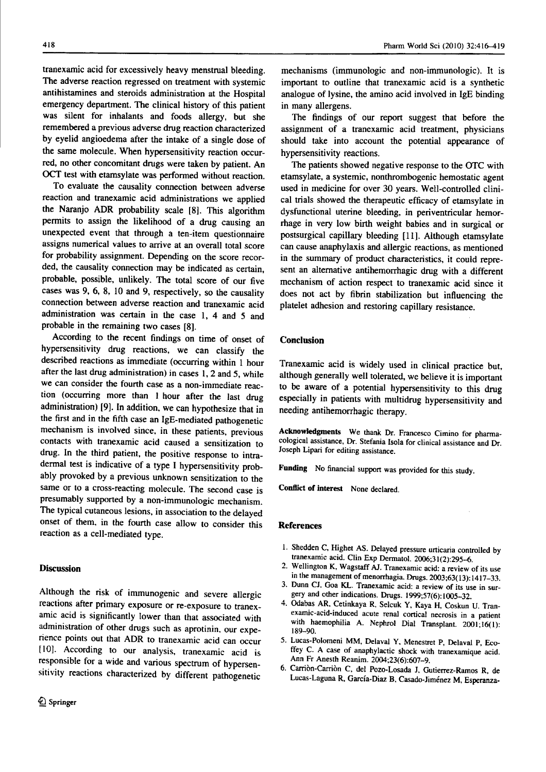tranexamic acid for excessively heavy menstrual bleeding. The adverse reaction regressed on treatment with systemic antihistamines and steroids administration at the Hospital emergency department. The clinical history of this patient was silent for inhalants and foods allergy, but she remembered a previous adverse drug reaction characterized by eyelid angioedema after the intake of a single dose of the same molecule. When hypersensitivity reaction occurred, no other concomitant drugs were taken by patient. An **OCT** test with etamsylate was performed without reaction.

To evaluate the causality connection between adverse reaction and tranexamic acid administrations we applied the Naranjo ADR probability scale **[8].** This algorithm permits to assign the likelihood of a drug causing an unexpected event that through a ten-item questionnaire assigns numerical values to arrive at an overall total score for probability assignment. Depending on the score recorded, the causality connection may be indicated as certain, probable, possible, unlikely. The total score of our five cases was 9, 6, 8, 10 and 9, respectively, so the causality connection between adverse reaction and tranexamic acid administration was certain in the case 1, 4 and 5 and probable in the remaining two cases [S].

According to the recent findings on time of onset of hypersensitivity drug reactions, we can classify the described reactions **as** immediate (occurring within 1 hour after the last drug administration) in cases **1.2** and **5,** while we can consider the fourth case as a non-immediate reaction (occurring more than 1 hour after the last drug administration) [91. In addition. we can hypothesize that in the first and in the fifth case an IgE-mediated pathogenetic mechanism is involved since, in these patients, previous contacts with tranexarnic acid caused a sensitization to drug. In the third patient, the positive response to intradermal test is indicative of a type I hypersensitivity probably provoked by a previous unknown sensitization to the same or to a cross-reacting molecule. The second case is presumably supported by a non-immunologic mechanism. The typical cutaneous lesions, in association to the delayed onset of them, in the fourth case allow to consider this reaction as a cell-mediated type.

### **Discussion**

Although the risk of immunogenic and severe allergic reactions after primary exposure or re-exposure to tranexamic acid is significantly lower than that associated with administration of other drugs such as aprotinin. our experience points out that ADR to tranexarnic acid can occur [IO]. According to our analysis, tranexamic acid is responsible for a wide and various spectrum of hypersensitivity reactions characterized by different pathogenetic mechanisms (immunologic and non-immunologic). It is important to outline that tranexamic acid is a synthetic analogue of lysine, the amino acid involved in IgE binding in many allergens.

The findings of our report suggest that before the assignment of a tranexamic acid treatment, physicians should take into account the potential appearance of hypersensitivity reactions.

The patients showed negative response to the OTC with etamsylate. a systemic, nonthrombogenic hemostatic agent used in medicine for over 30 years. Well-controlled clinical trials showed the therapeutic efficacy of etamsylate in dysfunctional uterine bleeding, in periventricular hemorrhage in very low birth weight babies and in surgical or postsurgical capillary bleeding [ll]. Although etamsylate can cause anaphylaxis and allergic reactions, **as** mentioned in the summary of product characteristics, it could represent an alternative antihemorrhagic drug with a different mechanism of action respect to tranexamic acid since it does not act by fibrin stabilization but influencing the platelet adhesion and restoring capillary resistance.

## **Conclusion**

Tranexamic acid is widely used in clinical practice but, although generally well tolerated, we believe it is important to be aware of a potential hypersensitivity to this drug especially in patients with multidrug hypersensitivity and needing antihemorrhagic therapy.

**Acknowledgments** We thank Dr. Francesco Cimino for pharmacological assistance, Dr. Stefania Isola for clinical assistance and Dr. Stefania Isola for clinical assistance Insection models interest Dr. Storming 18014

**Funding** No financial support was provided for this study.

**Conflict of interest** None declared.

### **References**

- **Shedden C. Highet AS. Delayed pressure until 1990 and 1990** tranexare y amgust 1101 montgo pressure uritania common tranexamic acid. Clin Exp Dermatol. 2006;31(2):295-6.<br>2. Wellington K, Wagstaff AJ. Tranexamic acid: a review of its use
- in the management of menorrhagia. Drugs. 2003;63(13):1417-33.
- 3. Dunn CJ. Goa **KL.** Tranexarnic acid: a review of its use in surgery and other indications. Drugs. 1999;57(6): 1005-32.
- 4. Odabas **AR,** Cetinkaya R, Selcuk Y, Kaya H, Coskun U. Tranexamic-acid-induced acute renal cortical necrosis in a patient with haemophilia **A. Nephrol** Dial Transplant. 2001;16(1): --- -----<br>9-90. 5. Lucas-Polomeni MM, Delaval Y. Menestret P, Delaval P, Eco-
- Free Countries Free, Deferal 1, McRosuct F, Delayal F, ECO-<br>PV C. A case of anaphylactic shock with transposable acid. Ann Fr Anesth Reanim. 2004;23(6):607-9. ffey C. A case of anaphylactic shock with tranexamique acid.<br>Ann Fr Anesth Reanim. 2004;23(6):607-9.<br>6. Carriòn-Carriòn C, del Pozo-Losada J, Gutierrez-Ramos R, de
- Lucas-Laguna R, García-Diaz B, Casado-Jiménez M, Esperanza-